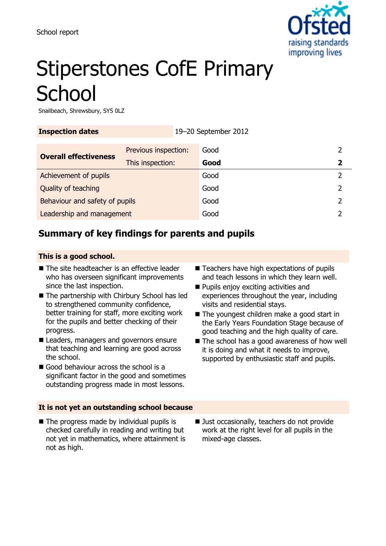

# Stiperstones CofE Primary **School**

Snailbeach, Shrewsbury, SY5 0LZ

| <b>Inspection dates</b>        |                                          | 19-20 September 2012 |              |   |
|--------------------------------|------------------------------------------|----------------------|--------------|---|
| <b>Overall effectiveness</b>   | Previous inspection:<br>This inspection: |                      | Good<br>Good | 2 |
| Achievement of pupils          |                                          |                      | Good         |   |
| Quality of teaching            |                                          | Good                 |              |   |
| Behaviour and safety of pupils |                                          |                      | Good         |   |
| Leadership and management      |                                          |                      | Good         |   |

## **Summary of key findings for parents and pupils**

#### **This is a good school.**

- The site headteacher is an effective leader who has overseen significant improvements since the last inspection.
- The partnership with Chirbury School has led to strengthened community confidence, better training for staff, more exciting work for the pupils and better checking of their progress.
- Leaders, managers and governors ensure that teaching and learning are good across the school.
- Good behaviour across the school is a significant factor in the good and sometimes outstanding progress made in most lessons.
- Teachers have high expectations of pupils and teach lessons in which they learn well.
- **Pupils enjoy exciting activities and** experiences throughout the year, including visits and residential stays.
- The youngest children make a good start in the Early Years Foundation Stage because of good teaching and the high quality of care.
- The school has a good awareness of how well it is doing and what it needs to improve, supported by enthusiastic staff and pupils.

#### **It is not yet an outstanding school because**

- $\blacksquare$  The progress made by individual pupils is checked carefully in reading and writing but not yet in mathematics, where attainment is not as high.
- Ust occasionally, teachers do not provide work at the right level for all pupils in the mixed-age classes.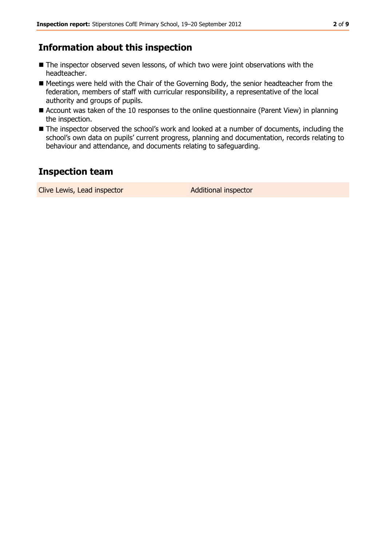## **Information about this inspection**

- The inspector observed seven lessons, of which two were joint observations with the headteacher.
- Meetings were held with the Chair of the Governing Body, the senior headteacher from the federation, members of staff with curricular responsibility, a representative of the local authority and groups of pupils.
- Account was taken of the 10 responses to the online questionnaire (Parent View) in planning the inspection.
- The inspector observed the school's work and looked at a number of documents, including the school's own data on pupils' current progress, planning and documentation, records relating to behaviour and attendance, and documents relating to safeguarding.

## **Inspection team**

Clive Lewis, Lead inspector and a Additional inspector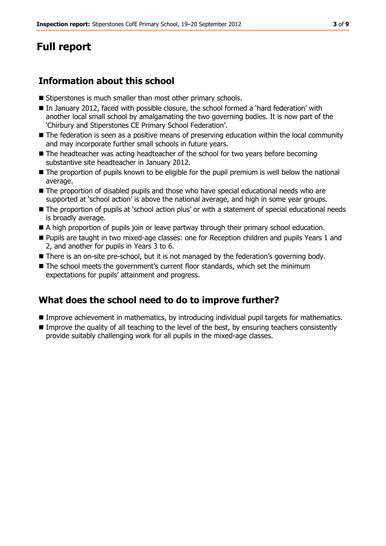# **Full report**

## **Information about this school**

- **Stiperstones is much smaller than most other primary schools.**
- In January 2012, faced with possible closure, the school formed a 'hard federation' with another local small school by amalgamating the two governing bodies. It is now part of the 'Chirbury and Stiperstones CE Primary School Federation'.
- The federation is seen as a positive means of preserving education within the local community and may incorporate further small schools in future years.
- The headteacher was acting headteacher of the school for two years before becoming substantive site headteacher in January 2012.
- The proportion of pupils known to be eligible for the pupil premium is well below the national average.
- The proportion of disabled pupils and those who have special educational needs who are supported at 'school action' is above the national average, and high in some year groups.
- The proportion of pupils at 'school action plus' or with a statement of special educational needs is broadly average.
- A high proportion of pupils join or leave partway through their primary school education.
- **Pupils are taught in two mixed-age classes: one for Reception children and pupils Years 1 and** 2, and another for pupils in Years 3 to 6.
- There is an on-site pre-school, but it is not managed by the federation's governing body.
- The school meets the government's current floor standards, which set the minimum expectations for pupils' attainment and progress.

## **What does the school need to do to improve further?**

- **Improve achievement in mathematics, by introducing individual pupil targets for mathematics.**
- **Improve the quality of all teaching to the level of the best, by ensuring teachers consistently** provide suitably challenging work for all pupils in the mixed-age classes.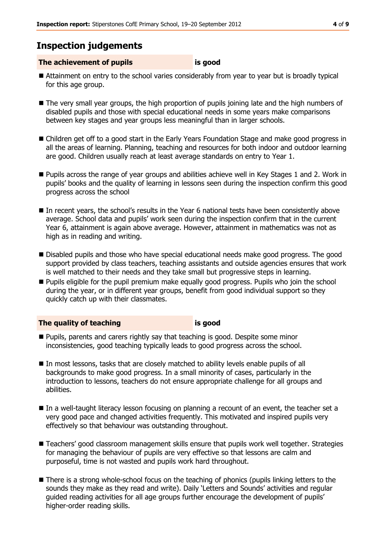## **Inspection judgements**

#### **The achievement of pupils is good**

- Attainment on entry to the school varies considerably from year to year but is broadly typical for this age group.
- The very small year groups, the high proportion of pupils joining late and the high numbers of disabled pupils and those with special educational needs in some years make comparisons between key stages and year groups less meaningful than in larger schools.
- Children get off to a good start in the Early Years Foundation Stage and make good progress in all the areas of learning. Planning, teaching and resources for both indoor and outdoor learning are good. Children usually reach at least average standards on entry to Year 1.
- Pupils across the range of year groups and abilities achieve well in Key Stages 1 and 2. Work in pupils' books and the quality of learning in lessons seen during the inspection confirm this good progress across the school
- In recent years, the school's results in the Year 6 national tests have been consistently above average. School data and pupils' work seen during the inspection confirm that in the current Year 6, attainment is again above average. However, attainment in mathematics was not as high as in reading and writing.
- Disabled pupils and those who have special educational needs make good progress. The good support provided by class teachers, teaching assistants and outside agencies ensures that work is well matched to their needs and they take small but progressive steps in learning.
- **Pupils eligible for the pupil premium make equally good progress. Pupils who join the school** during the year, or in different year groups, benefit from good individual support so they quickly catch up with their classmates.

#### **The quality of teaching is good**

- **Pupils, parents and carers rightly say that teaching is good. Despite some minor** inconsistencies, good teaching typically leads to good progress across the school.
- In most lessons, tasks that are closely matched to ability levels enable pupils of all backgrounds to make good progress. In a small minority of cases, particularly in the introduction to lessons, teachers do not ensure appropriate challenge for all groups and abilities.
- In a well-taught literacy lesson focusing on planning a recount of an event, the teacher set a very good pace and changed activities frequently. This motivated and inspired pupils very effectively so that behaviour was outstanding throughout.
- **Teachers' good classroom management skills ensure that pupils work well together. Strategies** for managing the behaviour of pupils are very effective so that lessons are calm and purposeful, time is not wasted and pupils work hard throughout.
- **There is a strong whole-school focus on the teaching of phonics (pupils linking letters to the** sounds they make as they read and write). Daily 'Letters and Sounds' activities and regular guided reading activities for all age groups further encourage the development of pupils' higher-order reading skills.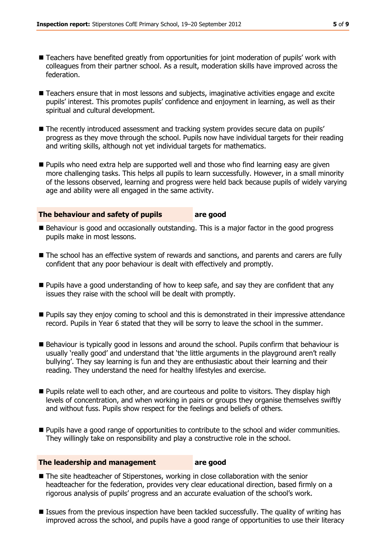- Teachers have benefited greatly from opportunities for joint moderation of pupils' work with colleagues from their partner school. As a result, moderation skills have improved across the federation.
- Teachers ensure that in most lessons and subjects, imaginative activities engage and excite pupils' interest. This promotes pupils' confidence and enjoyment in learning, as well as their spiritual and cultural development.
- **The recently introduced assessment and tracking system provides secure data on pupils'** progress as they move through the school. Pupils now have individual targets for their reading and writing skills, although not yet individual targets for mathematics.
- **Pupils who need extra help are supported well and those who find learning easy are given** more challenging tasks. This helps all pupils to learn successfully. However, in a small minority of the lessons observed, learning and progress were held back because pupils of widely varying age and ability were all engaged in the same activity.

#### **The behaviour and safety of pupils are good**

- Behaviour is good and occasionally outstanding. This is a major factor in the good progress pupils make in most lessons.
- The school has an effective system of rewards and sanctions, and parents and carers are fully confident that any poor behaviour is dealt with effectively and promptly.
- **Pupils have a good understanding of how to keep safe, and say they are confident that any** issues they raise with the school will be dealt with promptly.
- **Pupils say they enjoy coming to school and this is demonstrated in their impressive attendance** record. Pupils in Year 6 stated that they will be sorry to leave the school in the summer.
- Behaviour is typically good in lessons and around the school. Pupils confirm that behaviour is usually 'really good' and understand that 'the little arguments in the playground aren't really bullying'. They say learning is fun and they are enthusiastic about their learning and their reading. They understand the need for healthy lifestyles and exercise.
- **Pupils relate well to each other, and are courteous and polite to visitors. They display high** levels of concentration, and when working in pairs or groups they organise themselves swiftly and without fuss. Pupils show respect for the feelings and beliefs of others.
- **Pupils have a good range of opportunities to contribute to the school and wider communities.** They willingly take on responsibility and play a constructive role in the school.

#### **The leadership and management are good**

- The site headteacher of Stiperstones, working in close collaboration with the senior headteacher for the federation, provides very clear educational direction, based firmly on a rigorous analysis of pupils' progress and an accurate evaluation of the school's work.
- **ISSUES from the previous inspection have been tackled successfully. The quality of writing has** improved across the school, and pupils have a good range of opportunities to use their literacy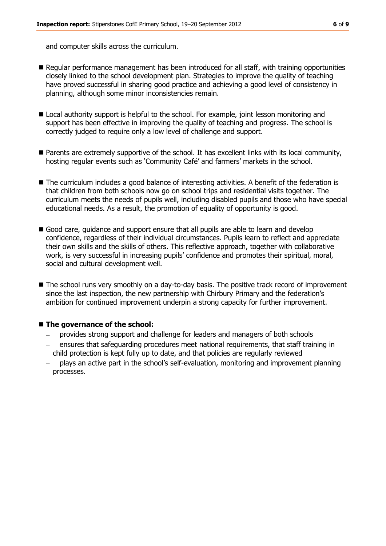and computer skills across the curriculum.

- Regular performance management has been introduced for all staff, with training opportunities closely linked to the school development plan. Strategies to improve the quality of teaching have proved successful in sharing good practice and achieving a good level of consistency in planning, although some minor inconsistencies remain.
- Local authority support is helpful to the school. For example, joint lesson monitoring and support has been effective in improving the quality of teaching and progress. The school is correctly judged to require only a low level of challenge and support.
- Parents are extremely supportive of the school. It has excellent links with its local community, hosting regular events such as 'Community Café' and farmers' markets in the school.
- The curriculum includes a good balance of interesting activities. A benefit of the federation is that children from both schools now go on school trips and residential visits together. The curriculum meets the needs of pupils well, including disabled pupils and those who have special educational needs. As a result, the promotion of equality of opportunity is good.
- Good care, guidance and support ensure that all pupils are able to learn and develop confidence, regardless of their individual circumstances. Pupils learn to reflect and appreciate their own skills and the skills of others. This reflective approach, together with collaborative work, is very successful in increasing pupils' confidence and promotes their spiritual, moral, social and cultural development well.
- The school runs very smoothly on a day-to-day basis. The positive track record of improvement since the last inspection, the new partnership with Chirbury Primary and the federation's ambition for continued improvement underpin a strong capacity for further improvement.

#### ■ The governance of the school:

- provides strong support and challenge for leaders and managers of both schools
- ensures that safeguarding procedures meet national requirements, that staff training in child protection is kept fully up to date, and that policies are regularly reviewed
- plays an active part in the school's self-evaluation, monitoring and improvement planning processes.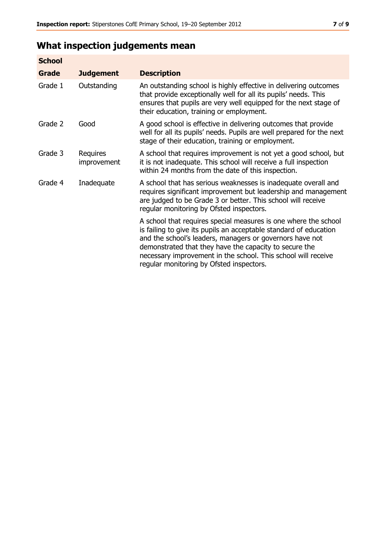# **What inspection judgements mean**

| <b>School</b> |                         |                                                                                                                                                                                                                                                                                                                                                                         |
|---------------|-------------------------|-------------------------------------------------------------------------------------------------------------------------------------------------------------------------------------------------------------------------------------------------------------------------------------------------------------------------------------------------------------------------|
| <b>Grade</b>  | <b>Judgement</b>        | <b>Description</b>                                                                                                                                                                                                                                                                                                                                                      |
| Grade 1       | Outstanding             | An outstanding school is highly effective in delivering outcomes<br>that provide exceptionally well for all its pupils' needs. This<br>ensures that pupils are very well equipped for the next stage of<br>their education, training or employment.                                                                                                                     |
| Grade 2       | Good                    | A good school is effective in delivering outcomes that provide<br>well for all its pupils' needs. Pupils are well prepared for the next<br>stage of their education, training or employment.                                                                                                                                                                            |
| Grade 3       | Requires<br>improvement | A school that requires improvement is not yet a good school, but<br>it is not inadequate. This school will receive a full inspection<br>within 24 months from the date of this inspection.                                                                                                                                                                              |
| Grade 4       | Inadequate              | A school that has serious weaknesses is inadequate overall and<br>requires significant improvement but leadership and management<br>are judged to be Grade 3 or better. This school will receive<br>regular monitoring by Ofsted inspectors.                                                                                                                            |
|               |                         | A school that requires special measures is one where the school<br>is failing to give its pupils an acceptable standard of education<br>and the school's leaders, managers or governors have not<br>demonstrated that they have the capacity to secure the<br>necessary improvement in the school. This school will receive<br>regular monitoring by Ofsted inspectors. |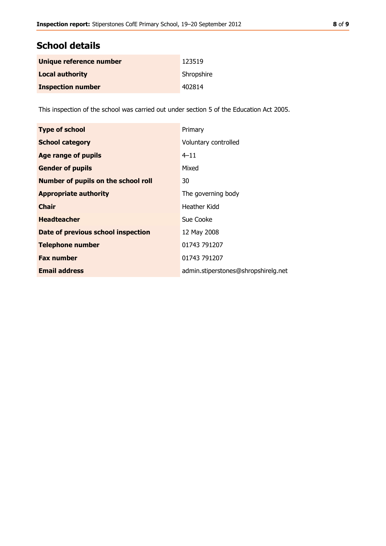## **School details**

| Unique reference number  | 123519     |
|--------------------------|------------|
| <b>Local authority</b>   | Shropshire |
| <b>Inspection number</b> | 402814     |

This inspection of the school was carried out under section 5 of the Education Act 2005.

| <b>Type of school</b>                      | Primary                             |
|--------------------------------------------|-------------------------------------|
| <b>School category</b>                     | Voluntary controlled                |
| <b>Age range of pupils</b>                 | $4 - 11$                            |
| <b>Gender of pupils</b>                    | Mixed                               |
| <b>Number of pupils on the school roll</b> | 30                                  |
| <b>Appropriate authority</b>               | The governing body                  |
| <b>Chair</b>                               | Heather Kidd                        |
| <b>Headteacher</b>                         | Sue Cooke                           |
| Date of previous school inspection         | 12 May 2008                         |
| <b>Telephone number</b>                    | 01743 791207                        |
| <b>Fax number</b>                          | 01743 791207                        |
| <b>Email address</b>                       | admin.stiperstones@shropshirelg.net |